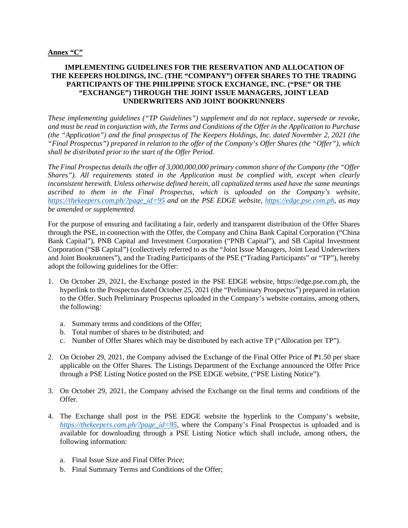## **IMPLEMENTING GUIDELINES FOR THE RESERVATION AND ALLOCATION OF THE KEEPERS HOLDINGS, INC. (THE "COMPANY") OFFER SHARES TO THE TRADING PARTICIPANTS OF THE PHILIPPINE STOCK EXCHANGE, INC. ("PSE" OR THE "EXCHANGE") THROUGH THE JOINT ISSUE MANAGERS, JOINT LEAD UNDERWRITERS AND JOINT BOOKRUNNERS**

*These implementing guidelines ("TP Guidelines") supplement and do not replace, supersede or revoke, and must be read in conjunction with, the Terms and Conditions of the Offer in the Application to Purchase (the "Application") and the final prospectus of The Keepers Holdings, Inc. dated November 2, 2021 (the "Final Prospectus") prepared in relation to the offer of the Company's Offer Shares (the "Offer"), which shall be distributed prior to the start of the Offer Period.* 

*The Final Prospectus details the offer of 3,000,000,000 primary common share of the Company (the "Offer Shares"). All requirements stated in the Application must be complied with, except when clearly inconsistent herewith. Unless otherwise defined herein, all capitalized terms used have the same meanings ascribed to them in the Final Prospectus, which is uploaded on the Company's website, [https://thekeepers.com.ph/?page\\_id=95](https://thekeepers.com.ph/?page_id=95) and on the PSE EDGE website, [https://edge.pse.com.ph,](https://edge.pse.com.ph/) as may be amended or supplemented.* 

For the purpose of ensuring and facilitating a fair, orderly and transparent distribution of the Offer Shares through the PSE, in connection with the Offer, the Company and China Bank Capital Corporation ("China Bank Capital"), PNB Capital and Investment Corporation ("PNB Capital"), and SB Capital Investment Corporation ("SB Capital") (collectively referred to as the "Joint Issue Managers, Joint Lead Underwriters and Joint Bookrunners"), and the Trading Participants of the PSE ("Trading Participants" or "TP"), hereby adopt the following guidelines for the Offer:

- 1. On October 29, 2021, the Exchange posted in the PSE EDGE website, https://edge.pse.com.ph, the hyperlink to the Prospectus dated October 25, 2021 (the "Preliminary Prospectus") prepared in relation to the Offer. Such Preliminary Prospectus uploaded in the Company's website contains, among others, the following:
	- a. Summary terms and conditions of the Offer;
	- b. Total number of shares to be distributed; and
	- c. Number of Offer Shares which may be distributed by each active TP ("Allocation per TP").
- 2. On October 29, 2021, the Company advised the Exchange of the Final Offer Price of  $\mathbb{P}1.50$  per share applicable on the Offer Shares. The Listings Department of the Exchange announced the Offer Price through a PSE Listing Notice posted on the PSE EDGE website, ("PSE Listing Notice").
- 3. On October 29, 2021, the Company advised the Exchange on the final terms and conditions of the Offer.
- 4. The Exchange shall post in the PSE EDGE website the hyperlink to the Company's website, *[https://thekeepers.com.ph/?page\\_id=95](https://thekeepers.com.ph/?page_id=95)*, where the Company's Final Prospectus is uploaded and is available for downloading through a PSE Listing Notice which shall include, among others, the following information:
	- a. Final Issue Size and Final Offer Price;
	- b. Final Summary Terms and Conditions of the Offer;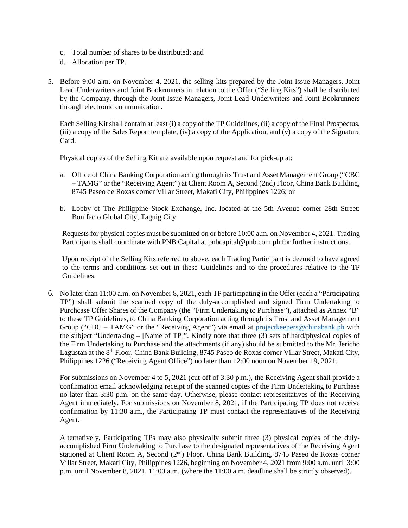- c. Total number of shares to be distributed; and
- d. Allocation per TP.
- 5. Before 9:00 a.m. on November 4, 2021, the selling kits prepared by the Joint Issue Managers, Joint Lead Underwriters and Joint Bookrunners in relation to the Offer ("Selling Kits") shall be distributed by the Company, through the Joint Issue Managers, Joint Lead Underwriters and Joint Bookrunners through electronic communication.

Each Selling Kit shall contain at least (i) a copy of the TP Guidelines, (ii) a copy of the Final Prospectus, (iii) a copy of the Sales Report template, (iv) a copy of the Application, and (v) a copy of the Signature Card.

Physical copies of the Selling Kit are available upon request and for pick-up at:

- a. Office of China Banking Corporation acting through its Trust and Asset Management Group ("CBC – TAMG" or the "Receiving Agent") at Client Room A, Second (2nd) Floor, China Bank Building, 8745 Paseo de Roxas corner Villar Street, Makati City, Philippines 1226; or
- b. Lobby of The Philippine Stock Exchange, Inc. located at the 5th Avenue corner 28th Street: Bonifacio Global City, Taguig City.

Requests for physical copies must be submitted on or before 10:00 a.m. on November 4, 2021. Trading Participants shall coordinate with PNB Capital at pnbcapital@pnb.com.ph for further instructions.

Upon receipt of the Selling Kits referred to above, each Trading Participant is deemed to have agreed to the terms and conditions set out in these Guidelines and to the procedures relative to the TP Guidelines.

6. No later than 11:00 a.m. on November 8, 2021, each TP participating in the Offer (each a "Participating TP") shall submit the scanned copy of the duly-accomplished and signed Firm Undertaking to Purchcase Offer Shares of the Company (the "Firm Undertaking to Purchase"), attached as Annex "B" to these TP Guidelines, to China Banking Corporation acting through its Trust and Asset Management Group ("CBC – TAMG" or the "Receiving Agent") via email at [projectkeepers@chinabank.ph](mailto:projectkeepers@chinabank.ph) with the subject "Undertaking – [Name of TP]". Kindly note that three  $(3)$  sets of hard/physical copies of the Firm Undertaking to Purchase and the attachments (if any) should be submitted to the Mr. Jericho Lagustan at the 8<sup>th</sup> Floor, China Bank Building, 8745 Paseo de Roxas corner Villar Street, Makati City, Philippines 1226 ("Receiving Agent Office") no later than 12:00 noon on November 19, 2021.

For submissions on November 4 to 5, 2021 (cut-off of 3:30 p.m.), the Receiving Agent shall provide a confirmation email acknowledging receipt of the scanned copies of the Firm Undertaking to Purchase no later than 3:30 p.m. on the same day. Otherwise, please contact representatives of the Receiving Agent immediately. For submissions on November 8, 2021, if the Participating TP does not receive confirmation by 11:30 a.m., the Participating TP must contact the representatives of the Receiving Agent.

Alternatively, Participating TPs may also physically submit three (3) physical copies of the dulyaccomplished Firm Undertaking to Purchase to the designated representatives of the Receiving Agent stationed at Client Room A, Second (2<sup>nd</sup>) Floor, China Bank Building, 8745 Paseo de Roxas corner Villar Street, Makati City, Philippines 1226, beginning on November 4, 2021 from 9:00 a.m. until 3:00 p.m. until November 8, 2021, 11:00 a.m. (where the 11:00 a.m. deadline shall be strictly observed).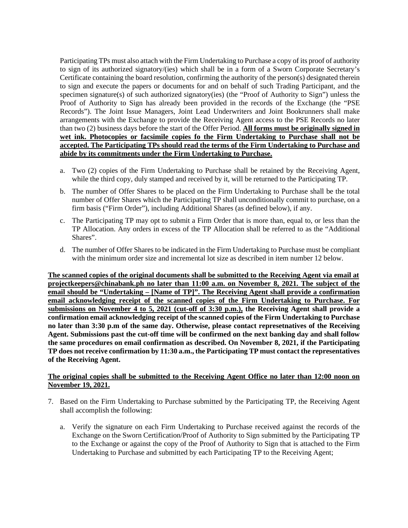Participating TPs must also attach with the Firm Undertaking to Purchase a copy of its proof of authority to sign of its authorized signatory/(ies) which shall be in a form of a Sworn Corporate Secretary's Certificate containing the board resolution, confirming the authority of the person(s) designated therein to sign and execute the papers or documents for and on behalf of such Trading Participant, and the specimen signature(s) of such authorized signatory(ies) (the "Proof of Authority to Sign") unless the Proof of Authority to Sign has already been provided in the records of the Exchange (the "PSE Records"). The Joint Issue Managers, Joint Lead Underwriters and Joint Bookrunners shall make arrangements with the Exchange to provide the Receiving Agent access to the PSE Records no later than two (2) business days before the start of the Offer Period. **All forms must be originally signed in wet ink. Photocopies or facsimile copies fo the Firm Undertaking to Purchase shall not be accepted. The Participating TPs should read the terms of the Firm Undertaking to Purchase and abide by its commitments under the Firm Undertaking to Purchase.**

- a. Two (2) copies of the Firm Undertaking to Purchase shall be retained by the Receiving Agent, while the third copy, duly stamped and received by it, will be returned to the Participating TP.
- b. The number of Offer Shares to be placed on the Firm Undertaking to Purchase shall be the total number of Offer Shares which the Participating TP shall unconditionally commit to purchase, on a firm basis ("Firm Order"), including Additional Shares (as defined below), if any.
- c. The Participating TP may opt to submit a Firm Order that is more than, equal to, or less than the TP Allocation. Any orders in excess of the TP Allocation shall be referred to as the "Additional Shares".
- d. The number of Offer Shares to be indicated in the Firm Undertaking to Purchase must be compliant with the minimum order size and incremental lot size as described in item number 12 below.

**The scanned copies of the original documents shall be submitted to the Receiving Agent via email at projectkeepers@chinabank.ph no later than 11:00 a.m. on November 8, 2021. The subject of the email should be "Undertaking – [Name of TP]". The Receiving Agent shall provide a confirmation email acknowledging receipt of the scanned copies of the Firm Undertaking to Purchase. For submissions on November 4 to 5, 2021 (cut-off of 3:30 p.m.), the Receiving Agent shall provide a confirmation email acknowledging receipt of the scanned copies of the Firm Undertaking to Purchase no later than 3:30 p.m of the same day. Otherwise, please contact represetnatives of the Receiving Agent. Submissions past the cut-off time will be confirmed on the next banking day and shall follow the same procedures on email confirmation as described. On November 8, 2021, if the Participating TP does not receive confirmation by 11:30 a.m., the Participating TP must contact the representatives of the Receiving Agent.**

### **The original copies shall be submitted to the Receiving Agent Office no later than 12:00 noon on November 19, 2021.**

- 7. Based on the Firm Undertaking to Purchase submitted by the Participating TP, the Receiving Agent shall accomplish the following:
	- a. Verify the signature on each Firm Undertaking to Purchase received against the records of the Exchange on the Sworn Certification/Proof of Authority to Sign submitted by the Participating TP to the Exchange or against the copy of the Proof of Authority to Sign that is attached to the Firm Undertaking to Purchase and submitted by each Participating TP to the Receiving Agent;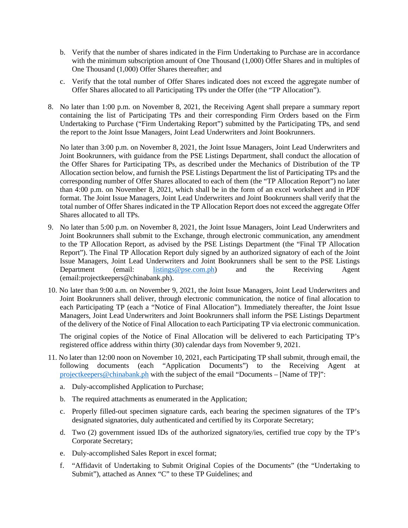- b. Verify that the number of shares indicated in the Firm Undertaking to Purchase are in accordance with the minimum subscription amount of One Thousand (1,000) Offer Shares and in multiples of One Thousand (1,000) Offer Shares thereafter; and
- c. Verify that the total number of Offer Shares indicated does not exceed the aggregate number of Offer Shares allocated to all Participating TPs under the Offer (the "TP Allocation").
- 8. No later than 1:00 p.m. on November 8, 2021, the Receiving Agent shall prepare a summary report containing the list of Participating TPs and their corresponding Firm Orders based on the Firm Undertaking to Purchase ("Firm Undertaking Report") submitted by the Participating TPs, and send the report to the Joint Issue Managers, Joint Lead Underwriters and Joint Bookrunners.

No later than 3:00 p.m. on November 8, 2021, the Joint Issue Managers, Joint Lead Underwriters and Joint Bookrunners, with guidance from the PSE Listings Department, shall conduct the allocation of the Offer Shares for Participating TPs, as described under the Mechanics of Distribution of the TP Allocation section below, and furnish the PSE Listings Department the list of Participating TPs and the corresponding number of Offer Shares allocated to each of them (the "TP Allocation Report") no later than 4:00 p.m. on November 8, 2021, which shall be in the form of an excel worksheet and in PDF format. The Joint Issue Managers, Joint Lead Underwriters and Joint Bookrunners shall verify that the total number of Offer Shares indicated in the TP Allocation Report does not exceed the aggregate Offer Shares allocated to all TPs.

- 9. No later than 5:00 p.m. on November 8, 2021, the Joint Issue Managers, Joint Lead Underwriters and Joint Bookrunners shall submit to the Exchange, through electronic communication, any amendment to the TP Allocation Report, as advised by the PSE Listings Department (the "Final TP Allocation Report"). The Final TP Allocation Report duly signed by an authorized signatory of each of the Joint Issue Managers, Joint Lead Underwriters and Joint Bookrunners shall be sent to the PSE Listings<br>Department (email: listings@pse.com.ph) and the Receiving Agent  $D$  (email: [listings@pse.com.ph\)](mailto:listings@pse.com.ph) and the Receiving Agent (email:projectkeepers@chinabank.ph).
- 10. No later than 9:00 a.m. on November 9, 2021, the Joint Issue Managers, Joint Lead Underwriters and Joint Bookrunners shall deliver, through electronic communication, the notice of final allocation to each Participating TP (each a "Notice of Final Allocation"). Immediately thereafter, the Joint Issue Managers, Joint Lead Underwriters and Joint Bookrunners shall inform the PSE Listings Department of the delivery of the Notice of Final Allocation to each Participating TP via electronic communication.

The original copies of the Notice of Final Allocation will be delivered to each Participating TP's registered office address within thirty (30) calendar days from November 9, 2021.

- 11. No later than 12:00 noon on November 10, 2021, each Participating TP shall submit, through email, the following documents (each "Application Documents") to the Receiving Agent at [projectkeepers@chinabank.ph](mailto:projectkeepers@chinabank.ph) with the subject of the email "Documents – [Name of TP]":
	- a. Duly-accomplished Application to Purchase;
	- b. The required attachments as enumerated in the Application;
	- c. Properly filled-out specimen signature cards, each bearing the specimen signatures of the TP's designated signatories, duly authenticated and certified by its Corporate Secretary;
	- d. Two (2) government issued IDs of the authorized signatory/ies, certified true copy by the TP's Corporate Secretary;
	- e. Duly-accomplished Sales Report in excel format;
	- f. "Affidavit of Undertaking to Submit Original Copies of the Documents" (the "Undertaking to Submit"), attached as Annex "C" to these TP Guidelines; and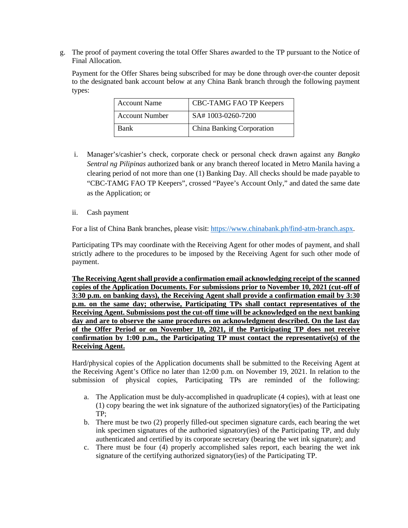g. The proof of payment covering the total Offer Shares awarded to the TP pursuant to the Notice of Final Allocation.

Payment for the Offer Shares being subscribed for may be done through over-the counter deposit to the designated bank account below at any China Bank branch through the following payment types:

| <b>Account Name</b>   | CBC-TAMG FAO TP Keepers   |
|-----------------------|---------------------------|
| <b>Account Number</b> | SA#1003-0260-7200         |
| <b>Bank</b>           | China Banking Corporation |

- i. Manager's/cashier's check, corporate check or personal check drawn against any *Bangko Sentral ng Pilipinas* authorized bank or any branch thereof located in Metro Manila having a clearing period of not more than one (1) Banking Day. All checks should be made payable to "CBC-TAMG FAO TP Keepers", crossed "Payee's Account Only," and dated the same date as the Application; or
- ii. Cash payment

For a list of China Bank branches, please visit: [https://www.chinabank.ph/find-atm-branch.aspx.](https://www.chinabank.ph/find-atm-branch.aspx)

Participating TPs may coordinate with the Receiving Agent for other modes of payment, and shall strictly adhere to the procedures to be imposed by the Receiving Agent for such other mode of payment.

**The Receiving Agent shall provide a confirmation email acknowledging receipt of the scanned copies of the Application Documents. For submissions prior to November 10, 2021 (cut-off of 3:30 p.m. on banking days), the Receiving Agent shall provide a confirmation email by 3:30 p.m. on the same day; otherwise, Participating TPs shall contact representatives of the Receiving Agent. Submissions post the cut-off time will be acknowledged on the next banking day and are to observe the same procedures on acknowledgment described. On the last day of the Offer Period or on November 10, 2021, if the Participating TP does not receive confirmation by 1:00 p.m., the Participating TP must contact the representative(s) of the Receiving Agent.**

Hard/physical copies of the Application documents shall be submitted to the Receiving Agent at the Receiving Agent's Office no later than 12:00 p.m. on November 19, 2021. In relation to the submission of physical copies, Participating TPs are reminded of the following:

- a. The Application must be duly-accomplished in quadruplicate (4 copies), with at least one (1) copy bearing the wet ink signature of the authorized signatory(ies) of the Participating TP;
- b. There must be two (2) properly filled-out specimen signature cards, each bearing the wet ink specimen signatures of the authoried signatory(ies) of the Participating TP, and duly authenticated and certified by its corporate secretary (bearing the wet ink signature); and
- c. There must be four (4) properly accomplished sales report, each bearing the wet ink signature of the certifying authorized signatory(ies) of the Participating TP.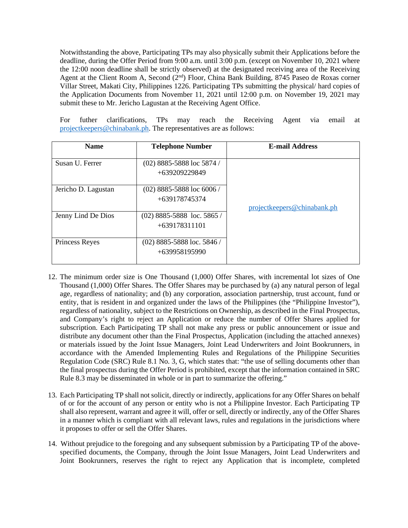Notwithstanding the above, Participating TPs may also physically submit their Applications before the deadline, during the Offer Period from 9:00 a.m. until 3:00 p.m. (except on November 10, 2021 where the 12:00 noon deadline shall be strictly observed) at the designated receiving area of the Receiving Agent at the Client Room A, Second (2<sup>nd</sup>) Floor, China Bank Building, 8745 Paseo de Roxas corner Villar Street, Makati City, Philippines 1226. Participating TPs submitting the physical/ hard copies of the Application Documents from November 11, 2021 until 12:00 p.m. on November 19, 2021 may submit these to Mr. Jericho Lagustan at the Receiving Agent Office.

For futher clarifications, TPs may reach the Receiving Agent via email at [projectkeepers@chinabank.ph.](mailto:projectkeepers@chinabank.ph) The representatives are as follows:

| <b>Name</b>           | <b>Telephone Number</b>                       | <b>E-mail Address</b>       |
|-----------------------|-----------------------------------------------|-----------------------------|
| Susan U. Ferrer       | $(02)$ 8885-5888 loc 5874 /<br>+639209229849  |                             |
| Jericho D. Lagustan   | $(02)$ 8885-5888 loc 6006 /<br>+639178745374  | projectkeepers@chinabank.ph |
| Jenny Lind De Dios    | (02) 8885-5888 loc. 5865 /<br>$+639178311101$ |                             |
| <b>Princess Reyes</b> | $(02)$ 8885-5888 loc. 5846/<br>+639958195990  |                             |

- 12. The minimum order size is One Thousand (1,000) Offer Shares, with incremental lot sizes of One Thousand (1,000) Offer Shares. The Offer Shares may be purchased by (a) any natural person of legal age, regardless of nationality; and (b) any corporation, association partnership, trust account, fund or entity, that is resident in and organized under the laws of the Philippines (the "Philippine Investor"), regardless of nationality, subject to the Restrictions on Ownership, as described in the Final Prospectus, and Company's right to reject an Application or reduce the number of Offer Shares applied for subscription. Each Participating TP shall not make any press or public announcement or issue and distribute any document other than the Final Prospectus, Application (including the attached annexes) or materials issued by the Joint Issue Managers, Joint Lead Underwriters and Joint Bookrunners, in accordance with the Amended Implementing Rules and Regulations of the Philippine Securities Regulation Code (SRC) Rule 8.1 No. 3, G, which states that: "the use of selling documents other than the final prospectus during the Offer Period is prohibited, except that the information contained in SRC Rule 8.3 may be disseminated in whole or in part to summarize the offering."
- 13. Each Participating TP shall not solicit, directly or indirectly, applications for any Offer Shares on behalf of or for the account of any person or entity who is not a Philippine Investor. Each Participating TP shall also represent, warrant and agree it will, offer or sell, directly or indirectly, any of the Offer Shares in a manner which is compliant with all relevant laws, rules and regulations in the jurisdictions where it proposes to offer or sell the Offer Shares.
- 14. Without prejudice to the foregoing and any subsequent submission by a Participating TP of the abovespecified documents, the Company, through the Joint Issue Managers, Joint Lead Underwriters and Joint Bookrunners, reserves the right to reject any Application that is incomplete, completed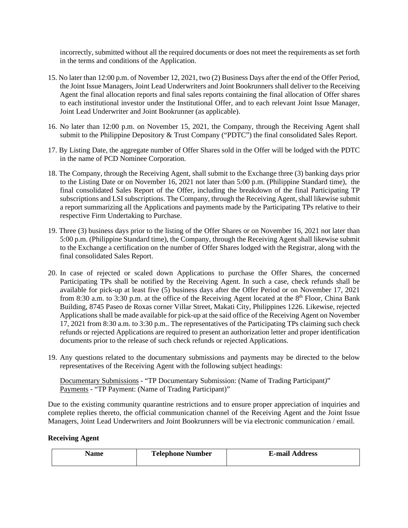incorrectly, submitted without all the required documents or does not meet the requirements as set forth in the terms and conditions of the Application.

- 15. No later than 12:00 p.m. of November 12, 2021, two (2) Business Days after the end of the Offer Period, the Joint Issue Managers, Joint Lead Underwriters and Joint Bookrunners shall deliver to the Receiving Agent the final allocation reports and final sales reports containing the final allocation of Offer shares to each institutional investor under the Institutional Offer, and to each relevant Joint Issue Manager, Joint Lead Underwriter and Joint Bookrunner (as applicable).
- 16. No later than 12:00 p.m. on November 15, 2021, the Company, through the Receiving Agent shall submit to the Philippine Depository & Trust Company ("PDTC") the final consolidated Sales Report.
- 17. By Listing Date, the aggregate number of Offer Shares sold in the Offer will be lodged with the PDTC in the name of PCD Nominee Corporation.
- 18. The Company, through the Receiving Agent, shall submit to the Exchange three (3) banking days prior to the Listing Date or on November 16, 2021 not later than 5:00 p.m. (Philippine Standard time), the final consolidated Sales Report of the Offer, including the breakdown of the final Participating TP subscriptions and LSI subscriptions. The Company, through the Receiving Agent, shall likewise submit a report summarizing all the Applications and payments made by the Participating TPs relative to their respective Firm Undertaking to Purchase.
- 19. Three (3) business days prior to the listing of the Offer Shares or on November 16, 2021 not later than 5:00 p.m. (Philippine Standard time), the Company, through the Receiving Agent shall likewise submit to the Exchange a certification on the number of Offer Shares lodged with the Registrar, along with the final consolidated Sales Report.
- 20. In case of rejected or scaled down Applications to purchase the Offer Shares, the concerned Participating TPs shall be notified by the Receiving Agent. In such a case, check refunds shall be available for pick-up at least five (5) business days after the Offer Period or on November 17, 2021 from 8:30 a.m. to 3:30 p.m. at the office of the Receiving Agent located at the  $8<sup>th</sup>$  Floor, China Bank Building, 8745 Paseo de Roxas corner Villar Street, Makati City, Philippines 1226. Likewise, rejected Applications shall be made available for pick-up at the said office of the Receiving Agent on November 17, 2021 from 8:30 a.m. to 3:30 p.m.. The representatives of the Participating TPs claiming such check refunds or rejected Applications are required to present an authorization letter and proper identification documents prior to the release of such check refunds or rejected Applications.
- 19. Any questions related to the documentary submissions and payments may be directed to the below representatives of the Receiving Agent with the following subject headings:

Documentary Submissions - "TP Documentary Submission: (Name of Trading Participant*)*" Payments - "TP Payment: (Name of Trading Participant)"

Due to the existing community quarantine restrictions and to ensure proper appreciation of inquiries and complete replies thereto, the official communication channel of the Receiving Agent and the Joint Issue Managers, Joint Lead Underwriters and Joint Bookrunners will be via electronic communication / email.

**Receiving Agent**

| vame | <b>Telephone Number</b> | <b>E-mail Address</b> |
|------|-------------------------|-----------------------|
|      |                         |                       |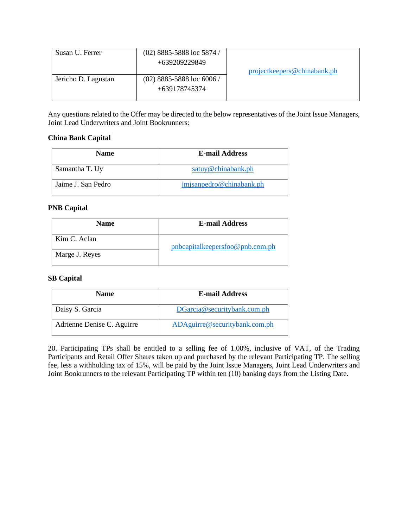| Susan U. Ferrer     | $(02)$ 8885-5888 loc 5874 /<br>+639209229849 |                             |
|---------------------|----------------------------------------------|-----------------------------|
|                     |                                              | projectkeepers@chinabank.ph |
| Jericho D. Lagustan | $(02)$ 8885-5888 loc 6006 /                  |                             |
|                     | +639178745374                                |                             |
|                     |                                              |                             |

Any questions related to the Offer may be directed to the below representatives of the Joint Issue Managers, Joint Lead Underwriters and Joint Bookrunners:

# **China Bank Capital**

| <b>Name</b>        | <b>E-mail Address</b>    |
|--------------------|--------------------------|
| Samantha T. Uy     | satuy@chinabank.ph       |
| Jaime J. San Pedro | jmjsanpedro@chinabank.ph |

## **PNB Capital**

| <b>Name</b>    | <b>E-mail Address</b>           |
|----------------|---------------------------------|
| Kim C. Aclan   | pnbcapitalkeepersfoo@pnb.com.ph |
| Marge J. Reyes |                                 |

## **SB Capital**

| <b>Name</b>                | <b>E-mail Address</b>         |
|----------------------------|-------------------------------|
| Daisy S. Garcia            | DGarcia@securitybank.com.ph   |
| Adrienne Denise C. Aguirre | ADAguirre@securitybank.com.ph |

20. Participating TPs shall be entitled to a selling fee of 1.00%, inclusive of VAT, of the Trading Participants and Retail Offer Shares taken up and purchased by the relevant Participating TP. The selling fee, less a withholding tax of 15%, will be paid by the Joint Issue Managers, Joint Lead Underwriters and Joint Bookrunners to the relevant Participating TP within ten (10) banking days from the Listing Date.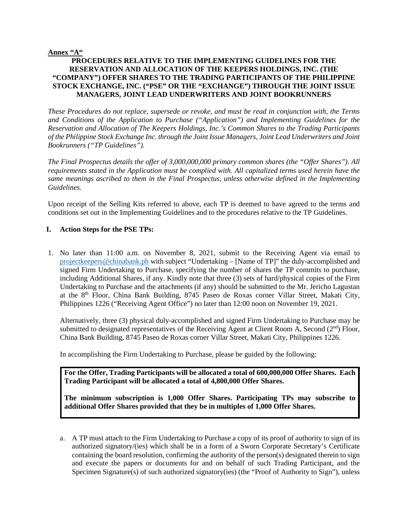### **Annex "A"**

## **PROCEDURES RELATIVE TO THE IMPLEMENTING GUIDELINES FOR THE RESERVATION AND ALLOCATION OF THE KEEPERS HOLDINGS, INC. (THE "COMPANY") OFFER SHARES TO THE TRADING PARTICIPANTS OF THE PHILIPPINE STOCK EXCHANGE, INC. ("PSE" OR THE "EXCHANGE") THROUGH THE JOINT ISSUE MANAGERS, JOINT LEAD UNDERWRITERS AND JOINT BOOKRUNNERS**

*These Procedures do not replace, supersede or revoke, and must be read in conjunction with, the Terms and Conditions of the Application to Purchase ("Application") and Implementing Guidelines for the Reservation and Allocation of The Keepers Holdings, Inc.'s Common Shares to the Trading Participants of the Philippine Stock Exchange Inc. through the Joint Issue Managers, Joint Lead Underwriters and Joint Bookrunners ("TP Guidelines").* 

*The Final Prospectus details the offer of 3,000,000,000 primary common shares (the "Offer Shares"). All requirements stated in the Application must be complied with. All capitalized terms used herein have the same meanings ascribed to them in the Final Prospectus, unless otherwise defined in the Implementing Guidelines.* 

Upon receipt of the Selling Kits referred to above, each TP is deemed to have agreed to the terms and conditions set out in the Implementing Guidelines and to the procedures relative to the TP Guidelines.

## **I. Action Steps for the PSE TPs:**

1. No later than 11:00 a.m. on November 8, 2021, submit to the Receiving Agent via email to [projectkeepers@chinabank.ph](mailto:projectkeepers@chinabank.ph) with subject "Undertaking – [Name of TP]" the duly-accomplished and signed Firm Undertaking to Purchase, specifying the number of shares the TP commits to purchase, including Additional Shares, if any. Kindly note that three (3) sets of hard/physical copies of the Firm Undertaking to Purchase and the attachments (if any) should be submitted to the Mr. Jericho Lagustan at the 8<sup>th</sup> Floor, China Bank Building, 8745 Paseo de Roxas corner Villar Street, Makati City, Philippines 1226 ("Receiving Agent Office") no later than 12:00 noon on November 19, 2021.

Alternatively, three (3) physical duly-accomplished and signed Firm Undertaking to Purchase may be submitted to designated representatives of the Receiving Agent at Client Room A, Second  $(2<sup>nd</sup>)$  Floor, China Bank Building, 8745 Paseo de Roxas corner Villar Street, Makati City, Philippines 1226.

In accomplishing the Firm Undertaking to Purchase, please be guided by the following:

**For the Offer, Trading Participants will be allocated a total of 600,000,000 Offer Shares. Each Trading Participant will be allocated a total of 4,800,000 Offer Shares.** 

**The minimum subscription is 1,000 Offer Shares. Participating TPs may subscribe to additional Offer Shares provided that they be in multiples of 1,000 Offer Shares.**

a. A TP must attach to the Firm Undertaking to Purchase a copy of its proof of authority to sign of its authorized signatory/(ies) which shall be in a form of a Sworn Corporate Secretary's Certificate containing the board resolution, confirming the authority of the person(s) designated therein to sign and execute the papers or documents for and on behalf of such Trading Participant, and the Specimen Signature(s) of such authorized signatory(ies) (the "Proof of Authority to Sign"), unless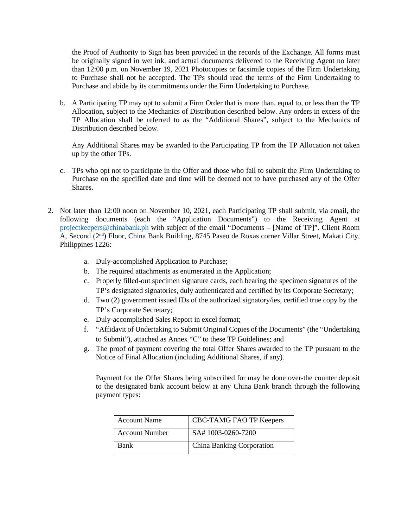the Proof of Authority to Sign has been provided in the records of the Exchange. All forms must be originally signed in wet ink, and actual documents delivered to the Receiving Agent no later than 12:00 p.m. on November 19, 2021 Photocopies or facsimile copies of the Firm Undertaking to Purchase shall not be accepted. The TPs should read the terms of the Firm Undertaking to Purchase and abide by its commitments under the Firm Undertaking to Purchase.

b. A Participating TP may opt to submit a Firm Order that is more than, equal to, or less than the TP Allocation, subject to the Mechanics of Distribution described below. Any orders in excess of the TP Allocation shall be referred to as the "Additional Shares", subject to the Mechanics of Distribution described below.

Any Additional Shares may be awarded to the Participating TP from the TP Allocation not taken up by the other TPs.

- c. TPs who opt not to participate in the Offer and those who fail to submit the Firm Undertaking to Purchase on the specified date and time will be deemed not to have purchased any of the Offer Shares.
- 2. Not later than 12:00 noon on November 10, 2021, each Participating TP shall submit, via email, the following documents (each the "Application Documents") to the Receiving Agent at [projectkeepers@chinabank.ph](mailto:projectkeepers@chinabank.ph) with subject of the email "Documents – [Name of TP]". Client Room A, Second (2<sup>nd</sup>) Floor, China Bank Building, 8745 Paseo de Roxas corner Villar Street, Makati City, Philippines 1226:
	- a. Duly-accomplished Application to Purchase;
	- b. The required attachments as enumerated in the Application;
	- c. Properly filled-out specimen signature cards, each bearing the specimen signatures of the TP's designated signatories, duly authenticated and certified by its Corporate Secretary;
	- d. Two (2) government issued IDs of the authorized signatory/ies, certified true copy by the TP's Corporate Secretary;
	- e. Duly-accomplished Sales Report in excel format;
	- f. "Affidavit of Undertaking to Submit Original Copies of the Documents" (the "Undertaking to Submit"), attached as Annex "C" to these TP Guidelines; and
	- g. The proof of payment covering the total Offer Shares awarded to the TP pursuant to the Notice of Final Allocation (including Additional Shares, if any).

Payment for the Offer Shares being subscribed for may be done over-the counter deposit to the designated bank account below at any China Bank branch through the following payment types:

| <b>Account Name</b>   | CBC-TAMG FAO TP Keepers   |
|-----------------------|---------------------------|
| <b>Account Number</b> | SA#1003-0260-7200         |
| Bank                  | China Banking Corporation |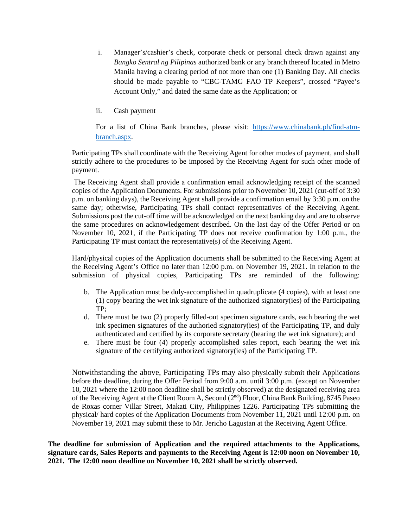- i. Manager's/cashier's check, corporate check or personal check drawn against any *Bangko Sentral ng Pilipinas* authorized bank or any branch thereof located in Metro Manila having a clearing period of not more than one (1) Banking Day. All checks should be made payable to "CBC-TAMG FAO TP Keepers", crossed "Payee's Account Only," and dated the same date as the Application; or
- ii. Cash payment

For a list of China Bank branches, please visit: [https://www.chinabank.ph/find-atm](https://www.chinabank.ph/find-atm-branch.aspx)[branch.aspx.](https://www.chinabank.ph/find-atm-branch.aspx)

Participating TPs shall coordinate with the Receiving Agent for other modes of payment, and shall strictly adhere to the procedures to be imposed by the Receiving Agent for such other mode of payment.

The Receiving Agent shall provide a confirmation email acknowledging receipt of the scanned copies of the Application Documents. For submissions prior to November 10, 2021 (cut-off of 3:30 p.m. on banking days), the Receiving Agent shall provide a confirmation email by 3:30 p.m. on the same day; otherwise, Participating TPs shall contact representatives of the Receiving Agent. Submissions post the cut-off time will be acknowledged on the next banking day and are to observe the same procedures on acknowledgement described. On the last day of the Offer Period or on November 10, 2021, if the Participating TP does not receive confirmation by 1:00 p.m., the Participating TP must contact the representative(s) of the Receiving Agent.

Hard/physical copies of the Application documents shall be submitted to the Receiving Agent at the Receiving Agent's Office no later than 12:00 p.m. on November 19, 2021. In relation to the submission of physical copies, Participating TPs are reminded of the following:

- b. The Application must be duly-accomplished in quadruplicate (4 copies), with at least one (1) copy bearing the wet ink signature of the authorized signatory(ies) of the Participating TP;
- d. There must be two (2) properly filled-out specimen signature cards, each bearing the wet ink specimen signatures of the authoried signatory(ies) of the Participating TP, and duly authenticated and certified by its corporate secretary (bearing the wet ink signature); and
- e. There must be four (4) properly accomplished sales report, each bearing the wet ink signature of the certifying authorized signatory(ies) of the Participating TP.

Notwithstanding the above, Participating TPs may also physically submit their Applications before the deadline, during the Offer Period from 9:00 a.m. until 3:00 p.m. (except on November 10, 2021 where the 12:00 noon deadline shall be strictly observed) at the designated receiving area of the Receiving Agent at the Client Room A, Second (2nd) Floor, China Bank Building, 8745 Paseo de Roxas corner Villar Street, Makati City, Philippines 1226. Participating TPs submitting the physical/ hard copies of the Application Documents from November 11, 2021 until 12:00 p.m. on November 19, 2021 may submit these to Mr. Jericho Lagustan at the Receiving Agent Office.

**The deadline for submission of Application and the required attachments to the Applications, signature cards, Sales Reports and payments to the Receiving Agent is 12:00 noon on November 10, 2021. The 12:00 noon deadline on November 10, 2021 shall be strictly observed.**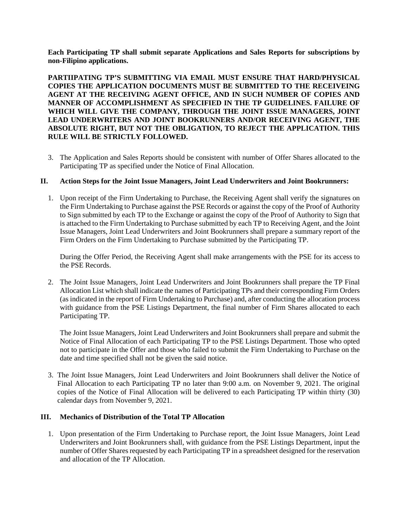**Each Participating TP shall submit separate Applications and Sales Reports for subscriptions by non-Filipino applications.**

**PARTIIPATING TP'S SUBMITTING VIA EMAIL MUST ENSURE THAT HARD/PHYSICAL COPIES THE APPLICATION DOCUMENTS MUST BE SUBMITTED TO THE RECEIVEING AGENT AT THE RECEIVING AGENT OFFICE, AND IN SUCH NUMBER OF COPIES AND MANNER OF ACCOMPLISHMENT AS SPECIFIED IN THE TP GUIDELINES. FAILURE OF WHICH WILL GIVE THE COMPANY, THROUGH THE JOINT ISSUE MANAGERS, JOINT LEAD UNDERWRITERS AND JOINT BOOKRUNNERS AND/OR RECEIVING AGENT, THE ABSOLUTE RIGHT, BUT NOT THE OBLIGATION, TO REJECT THE APPLICATION. THIS RULE WILL BE STRICTLY FOLLOWED.**

3. The Application and Sales Reports should be consistent with number of Offer Shares allocated to the Participating TP as specified under the Notice of Final Allocation.

### **II. Action Steps for the Joint Issue Managers, Joint Lead Underwriters and Joint Bookrunners:**

1. Upon receipt of the Firm Undertaking to Purchase, the Receiving Agent shall verify the signatures on the Firm Undertaking to Purchase against the PSE Records or against the copy of the Proof of Authority to Sign submitted by each TP to the Exchange or against the copy of the Proof of Authority to Sign that is attached to the Firm Undertaking to Purchase submitted by each TP to Receiving Agent, and the Joint Issue Managers, Joint Lead Underwriters and Joint Bookrunners shall prepare a summary report of the Firm Orders on the Firm Undertaking to Purchase submitted by the Participating TP.

During the Offer Period, the Receiving Agent shall make arrangements with the PSE for its access to the PSE Records.

2. The Joint Issue Managers, Joint Lead Underwriters and Joint Bookrunners shall prepare the TP Final Allocation List which shall indicate the names of Participating TPs and their corresponding Firm Orders (as indicated in the report of Firm Undertaking to Purchase) and, after conducting the allocation process with guidance from the PSE Listings Department, the final number of Firm Shares allocated to each Participating TP.

The Joint Issue Managers, Joint Lead Underwriters and Joint Bookrunners shall prepare and submit the Notice of Final Allocation of each Participating TP to the PSE Listings Department. Those who opted not to participate in the Offer and those who failed to submit the Firm Undertaking to Purchase on the date and time specified shall not be given the said notice.

3. The Joint Issue Managers, Joint Lead Underwriters and Joint Bookrunners shall deliver the Notice of Final Allocation to each Participating TP no later than 9:00 a.m. on November 9, 2021. The original copies of the Notice of Final Allocation will be delivered to each Participating TP within thirty (30) calendar days from November 9, 2021.

## **III. Mechanics of Distribution of the Total TP Allocation**

1. Upon presentation of the Firm Undertaking to Purchase report, the Joint Issue Managers, Joint Lead Underwriters and Joint Bookrunners shall, with guidance from the PSE Listings Department, input the number of Offer Shares requested by each Participating TP in a spreadsheet designed for the reservation and allocation of the TP Allocation.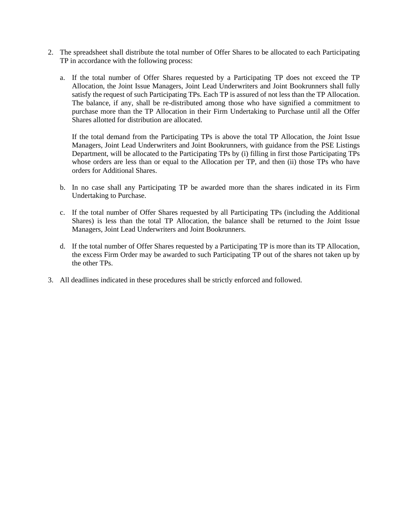- 2. The spreadsheet shall distribute the total number of Offer Shares to be allocated to each Participating TP in accordance with the following process:
	- a. If the total number of Offer Shares requested by a Participating TP does not exceed the TP Allocation, the Joint Issue Managers, Joint Lead Underwriters and Joint Bookrunners shall fully satisfy the request of such Participating TPs. Each TP is assured of not less than the TP Allocation. The balance, if any, shall be re-distributed among those who have signified a commitment to purchase more than the TP Allocation in their Firm Undertaking to Purchase until all the Offer Shares allotted for distribution are allocated.

If the total demand from the Participating TPs is above the total TP Allocation, the Joint Issue Managers, Joint Lead Underwriters and Joint Bookrunners, with guidance from the PSE Listings Department, will be allocated to the Participating TPs by (i) filling in first those Participating TPs whose orders are less than or equal to the Allocation per TP, and then (ii) those TPs who have orders for Additional Shares.

- b. In no case shall any Participating TP be awarded more than the shares indicated in its Firm Undertaking to Purchase.
- c. If the total number of Offer Shares requested by all Participating TPs (including the Additional Shares) is less than the total TP Allocation, the balance shall be returned to the Joint Issue Managers, Joint Lead Underwriters and Joint Bookrunners.
- d. If the total number of Offer Shares requested by a Participating TP is more than its TP Allocation, the excess Firm Order may be awarded to such Participating TP out of the shares not taken up by the other TPs.
- 3. All deadlines indicated in these procedures shall be strictly enforced and followed.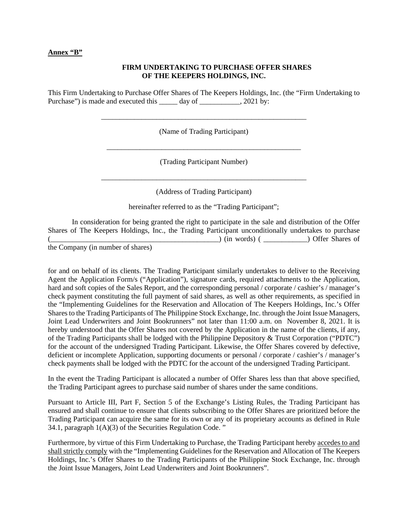#### **Annex "B"**

### **FIRM UNDERTAKING TO PURCHASE OFFER SHARES OF THE KEEPERS HOLDINGS, INC.**

This Firm Undertaking to Purchase Offer Shares of The Keepers Holdings, Inc. (the "Firm Undertaking to Purchase") is made and executed this day of \_\_\_\_\_\_\_\_\_\_, 2021 by:

(Name of Trading Participant)

\_\_\_\_\_\_\_\_\_\_\_\_\_\_\_\_\_\_\_\_\_\_\_\_\_\_\_\_\_\_\_\_\_\_\_\_\_\_\_\_\_\_\_\_\_\_\_\_\_\_\_\_\_\_\_\_

(Trading Participant Number)

\_\_\_\_\_\_\_\_\_\_\_\_\_\_\_\_\_\_\_\_\_\_\_\_\_\_\_\_\_\_\_\_\_\_\_\_\_\_\_\_\_\_\_\_\_\_\_\_\_\_\_\_\_\_\_\_

\_\_\_\_\_\_\_\_\_\_\_\_\_\_\_\_\_\_\_\_\_\_\_\_\_\_\_\_\_\_\_\_\_\_\_\_\_\_\_\_\_\_\_\_\_\_\_\_\_\_\_\_\_

(Address of Trading Participant)

hereinafter referred to as the "Trading Participant";

In consideration for being granted the right to participate in the sale and distribution of the Offer Shares of The Keepers Holdings, Inc., the Trading Participant unconditionally undertakes to purchase (\_\_\_\_\_\_\_\_\_\_\_\_\_\_\_\_\_\_\_\_\_\_\_\_\_\_\_\_\_\_\_\_\_\_\_\_\_\_\_\_\_\_\_\_\_\_) (in words) ( \_\_\_\_\_\_\_\_\_\_\_\_) Offer Shares of

the Company (in number of shares)

for and on behalf of its clients. The Trading Participant similarly undertakes to deliver to the Receiving Agent the Application Form/s ("Application"), signature cards, required attachments to the Application, hard and soft copies of the Sales Report, and the corresponding personal / corporate / cashier's / manager's check payment constituting the full payment of said shares, as well as other requirements, as specified in the "Implementing Guidelines for the Reservation and Allocation of The Keepers Holdings, Inc.'s Offer Shares to the Trading Participants of The Philippine Stock Exchange, Inc. through the Joint Issue Managers, Joint Lead Underwriters and Joint Bookrunners" not later than 11:00 a.m. on November 8, 2021. It is hereby understood that the Offer Shares not covered by the Application in the name of the clients, if any, of the Trading Participants shall be lodged with the Philippine Depository & Trust Corporation ("PDTC") for the account of the undersigned Trading Participant. Likewise, the Offer Shares covered by defective, deficient or incomplete Application, supporting documents or personal / corporate / cashier's / manager's check payments shall be lodged with the PDTC for the account of the undersigned Trading Participant.

In the event the Trading Participant is allocated a number of Offer Shares less than that above specified, the Trading Participant agrees to purchase said number of shares under the same conditions.

Pursuant to Article III, Part F, Section 5 of the Exchange's Listing Rules, the Trading Participant has ensured and shall continue to ensure that clients subscribing to the Offer Shares are prioritized before the Trading Participant can acquire the same for its own or any of its proprietary accounts as defined in Rule 34.1, paragraph  $1(A)(3)$  of the Securities Regulation Code."

Furthermore, by virtue of this Firm Undertaking to Purchase, the Trading Participant hereby accedes to and shall strictly comply with the "Implementing Guidelines for the Reservation and Allocation of The Keepers Holdings, Inc.'s Offer Shares to the Trading Participants of the Philippine Stock Exchange, Inc. through the Joint Issue Managers, Joint Lead Underwriters and Joint Bookrunners".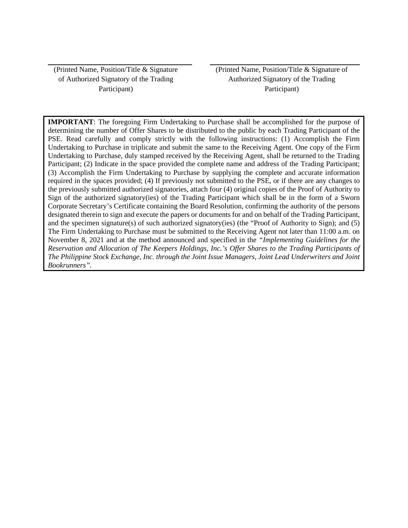(Printed Name, Position/Title & Signature of Authorized Signatory of the Trading Participant)

(Printed Name, Position/Title & Signature of Authorized Signatory of the Trading Participant)

**IMPORTANT**: The foregoing Firm Undertaking to Purchase shall be accomplished for the purpose of determining the number of Offer Shares to be distributed to the public by each Trading Participant of the PSE. Read carefully and comply strictly with the following instructions: (1) Accomplish the Firm Undertaking to Purchase in triplicate and submit the same to the Receiving Agent. One copy of the Firm Undertaking to Purchase, duly stamped received by the Receiving Agent, shall be returned to the Trading Participant; (2) Indicate in the space provided the complete name and address of the Trading Participant; (3) Accomplish the Firm Undertaking to Purchase by supplying the complete and accurate information required in the spaces provided; (4) If previously not submitted to the PSE, or if there are any changes to the previously submitted authorized signatories, attach four (4) original copies of the Proof of Authority to Sign of the authorized signatory(ies) of the Trading Participant which shall be in the form of a Sworn Corporate Secretary's Certificate containing the Board Resolution, confirming the authority of the persons designated therein to sign and execute the papers or documents for and on behalf of the Trading Participant, and the specimen signature(s) of such authorized signatory(ies) (the "Proof of Authority to Sign); and (5) The Firm Undertaking to Purchase must be submitted to the Receiving Agent not later than 11:00 a.m. on November 8, 2021 and at the method announced and specified in the *"Implementing Guidelines for the Reservation and Allocation of The Keepers Holdings, Inc.'s Offer Shares to the Trading Participants of The Philippine Stock Exchange, Inc. through the Joint Issue Managers, Joint Lead Underwriters and Joint Bookrunners".*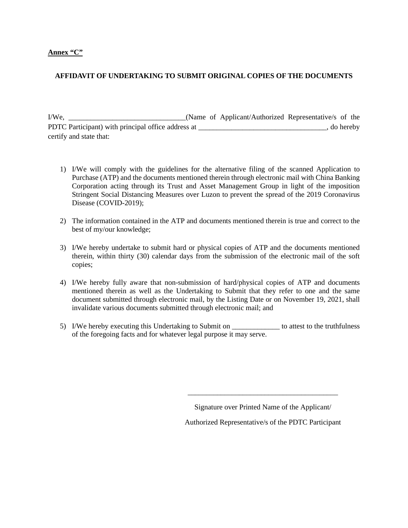### **Annex "C"**

## **AFFIDAVIT OF UNDERTAKING TO SUBMIT ORIGINAL COPIES OF THE DOCUMENTS**

I/We, \_\_\_\_\_\_\_\_\_\_\_\_\_\_\_\_\_\_\_\_\_\_\_\_\_\_\_\_\_\_\_\_(Name of Applicant/Authorized Representative/s of the PDTC Participant) with principal office address at \_\_\_\_\_\_\_\_\_\_\_\_\_\_\_\_\_\_\_\_\_\_\_\_\_\_\_\_\_\_, do hereby certify and state that:

- 1) I/We will comply with the guidelines for the alternative filing of the scanned Application to Purchase (ATP) and the documents mentioned therein through electronic mail with China Banking Corporation acting through its Trust and Asset Management Group in light of the imposition Stringent Social Distancing Measures over Luzon to prevent the spread of the 2019 Coronavirus Disease (COVID-2019);
- 2) The information contained in the ATP and documents mentioned therein is true and correct to the best of my/our knowledge;
- 3) I/We hereby undertake to submit hard or physical copies of ATP and the documents mentioned therein, within thirty (30) calendar days from the submission of the electronic mail of the soft copies;
- 4) I/We hereby fully aware that non-submission of hard/physical copies of ATP and documents mentioned therein as well as the Undertaking to Submit that they refer to one and the same document submitted through electronic mail, by the Listing Date or on November 19, 2021, shall invalidate various documents submitted through electronic mail; and
- 5) I/We hereby executing this Undertaking to Submit on \_\_\_\_\_\_\_\_\_\_\_\_\_ to attest to the truthfulness of the foregoing facts and for whatever legal purpose it may serve.

Signature over Printed Name of the Applicant/

\_\_\_\_\_\_\_\_\_\_\_\_\_\_\_\_\_\_\_\_\_\_\_\_\_\_\_\_\_\_\_\_\_\_\_\_\_\_\_\_\_

Authorized Representative/s of the PDTC Participant